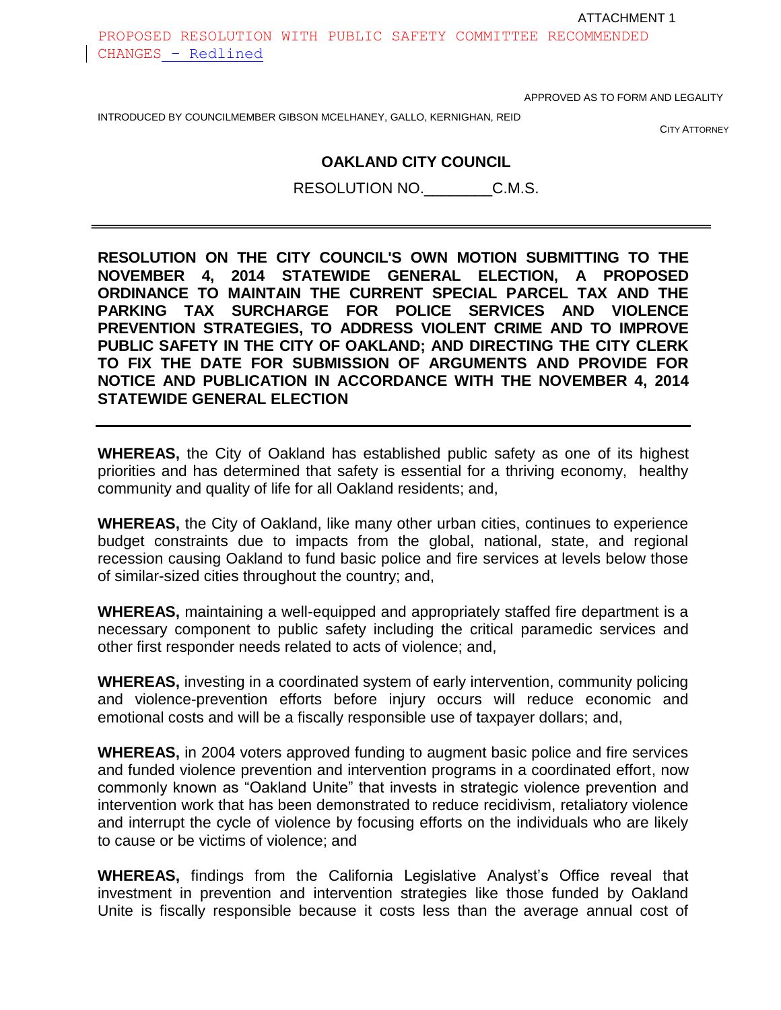ATTACHMENT 1

PROPOSED RESOLUTION WITH PUBLIC SAFETY COMMITTEE RECOMMENDED CHANGES – Redlined

APPROVED AS TO FORM AND LEGALITY

CITY ATTORNEY

#### **OAKLAND CITY COUNCIL**

RESOLUTION NO.\_\_\_\_\_\_\_\_C.M.S.

**RESOLUTION ON THE CITY COUNCIL'S OWN MOTION SUBMITTING TO THE NOVEMBER 4, 2014 STATEWIDE GENERAL ELECTION, A PROPOSED ORDINANCE TO MAINTAIN THE CURRENT SPECIAL PARCEL TAX AND THE PARKING TAX SURCHARGE FOR POLICE SERVICES AND VIOLENCE PREVENTION STRATEGIES, TO ADDRESS VIOLENT CRIME AND TO IMPROVE PUBLIC SAFETY IN THE CITY OF OAKLAND; AND DIRECTING THE CITY CLERK TO FIX THE DATE FOR SUBMISSION OF ARGUMENTS AND PROVIDE FOR NOTICE AND PUBLICATION IN ACCORDANCE WITH THE NOVEMBER 4, 2014 STATEWIDE GENERAL ELECTION**

**WHEREAS,** the City of Oakland has established public safety as one of its highest priorities and has determined that safety is essential for a thriving economy, healthy community and quality of life for all Oakland residents; and,

**WHEREAS,** the City of Oakland, like many other urban cities, continues to experience budget constraints due to impacts from the global, national, state, and regional recession causing Oakland to fund basic police and fire services at levels below those of similar-sized cities throughout the country; and,

**WHEREAS,** maintaining a well-equipped and appropriately staffed fire department is a necessary component to public safety including the critical paramedic services and other first responder needs related to acts of violence; and,

**WHEREAS,** investing in a coordinated system of early intervention, community policing and violence-prevention efforts before injury occurs will reduce economic and emotional costs and will be a fiscally responsible use of taxpayer dollars; and,

**WHEREAS,** in 2004 voters approved funding to augment basic police and fire services and funded violence prevention and intervention programs in a coordinated effort, now commonly known as "Oakland Unite" that invests in strategic violence prevention and intervention work that has been demonstrated to reduce recidivism, retaliatory violence and interrupt the cycle of violence by focusing efforts on the individuals who are likely to cause or be victims of violence; and

**WHEREAS,** findings from the California Legislative Analyst's Office reveal that investment in prevention and intervention strategies like those funded by Oakland Unite is fiscally responsible because it costs less than the average annual cost of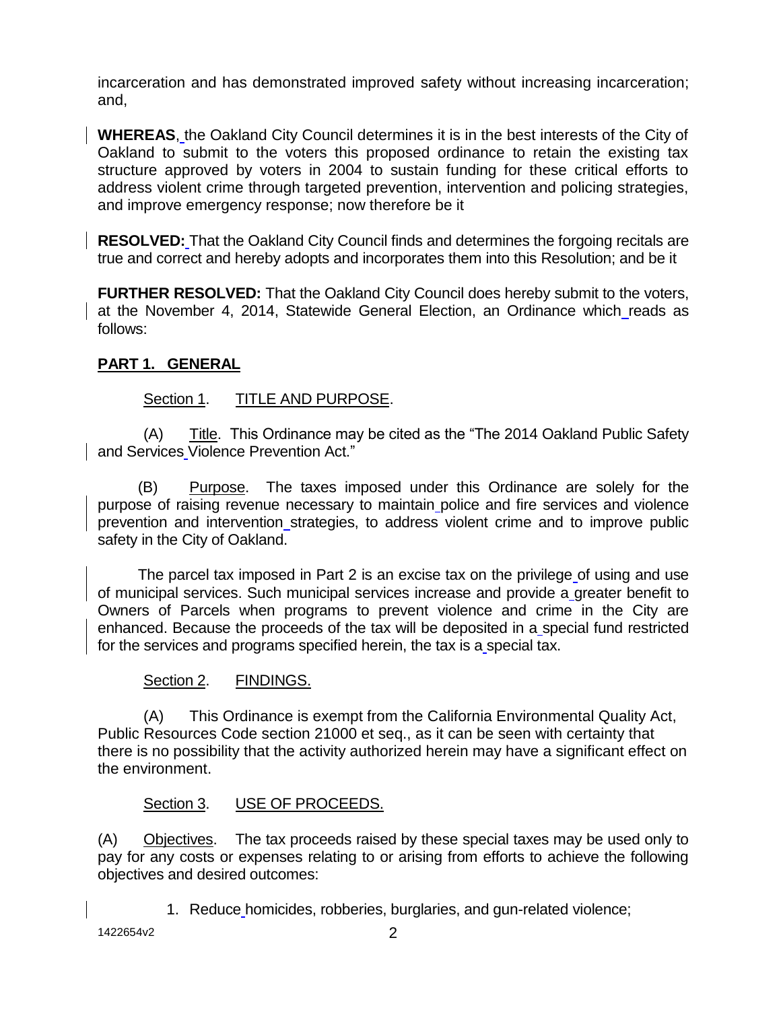incarceration and has demonstrated improved safety without increasing incarceration; and,

**WHEREAS**, the Oakland City Council determines it is in the best interests of the City of Oakland to submit to the voters this proposed ordinance to retain the existing tax structure approved by voters in 2004 to sustain funding for these critical efforts to address violent crime through targeted prevention, intervention and policing strategies, and improve emergency response; now therefore be it

**RESOLVED:** That the Oakland City Council finds and determines the forgoing recitals are true and correct and hereby adopts and incorporates them into this Resolution; and be it

**FURTHER RESOLVED:** That the Oakland City Council does hereby submit to the voters, at the November 4, 2014, Statewide General Election, an Ordinance which reads as follows:

## **PART 1. GENERAL**

## Section 1. TITLE AND PURPOSE.

 $(A)$  Title. This Ordinance may be cited as the "The 2014 Oakland Public Safety" and Services Violence Prevention Act."

(B) Purpose. The taxes imposed under this Ordinance are solely for the purpose of raising revenue necessary to maintain police and fire services and violence prevention and intervention strategies, to address violent crime and to improve public safety in the City of Oakland.

The parcel tax imposed in Part 2 is an excise tax on the privilege of using and use of municipal services. Such municipal services increase and provide a greater benefit to Owners of Parcels when programs to prevent violence and crime in the City are enhanced. Because the proceeds of the tax will be deposited in a special fund restricted for the services and programs specified herein, the tax is a special tax.

### Section 2. FINDINGS.

(A) This Ordinance is exempt from the California Environmental Quality Act, Public Resources Code section 21000 et seq., as it can be seen with certainty that there is no possibility that the activity authorized herein may have a significant effect on the environment.

### Section 3. USE OF PROCEEDS.

(A) Objectives. The tax proceeds raised by these special taxes may be used only to pay for any costs or expenses relating to or arising from efforts to achieve the following objectives and desired outcomes:

1. Reduce homicides, robberies, burglaries, and gun-related violence;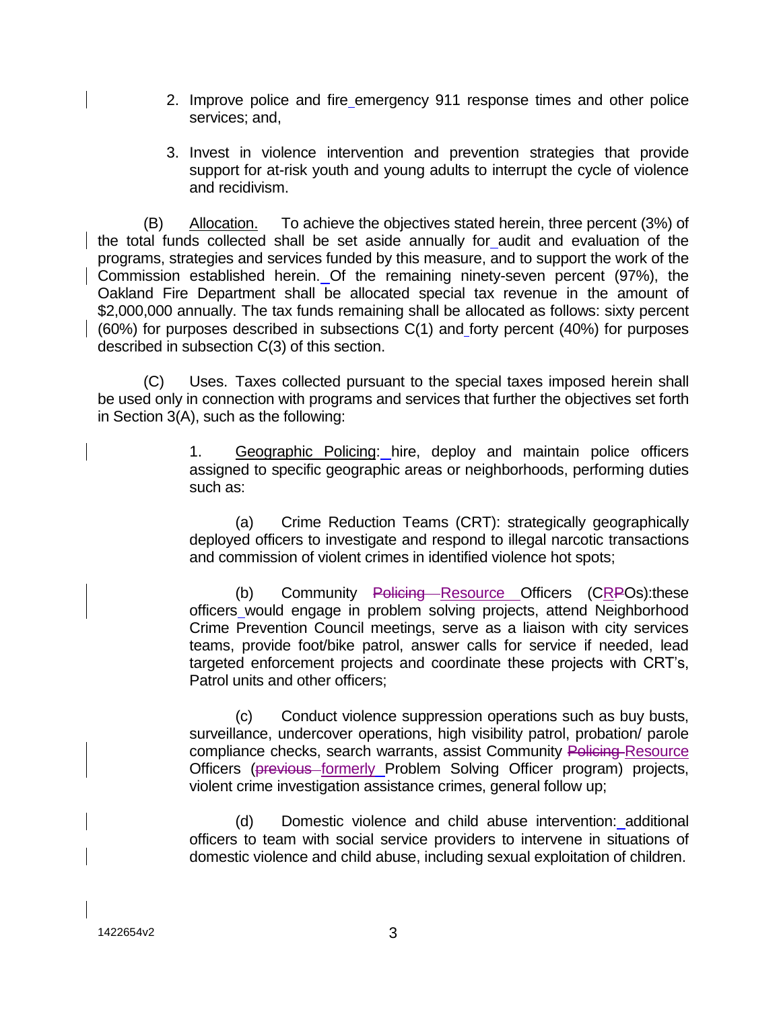- 2. Improve police and fire emergency 911 response times and other police services; and,
- 3. Invest in violence intervention and prevention strategies that provide support for at-risk youth and young adults to interrupt the cycle of violence and recidivism.

(B) Allocation. To achieve the objectives stated herein, three percent (3%) of the total funds collected shall be set aside annually for audit and evaluation of the programs, strategies and services funded by this measure, and to support the work of the Commission established herein. Of the remaining ninety-seven percent (97%), the Oakland Fire Department shall be allocated special tax revenue in the amount of \$2,000,000 annually. The tax funds remaining shall be allocated as follows: sixty percent (60%) for purposes described in subsections C(1) and forty percent (40%) for purposes described in subsection C(3) of this section.

(C) Uses. Taxes collected pursuant to the special taxes imposed herein shall be used only in connection with programs and services that further the objectives set forth in Section 3(A), such as the following:

> 1. Geographic Policing: hire, deploy and maintain police officers assigned to specific geographic areas or neighborhoods, performing duties such as:

> (a) Crime Reduction Teams (CRT): strategically geographically deployed officers to investigate and respond to illegal narcotic transactions and commission of violent crimes in identified violence hot spots;

> (b) Community Policing Resource Officers (CRPOs): these officers would engage in problem solving projects, attend Neighborhood Crime Prevention Council meetings, serve as a liaison with city services teams, provide foot/bike patrol, answer calls for service if needed, lead targeted enforcement projects and coordinate these projects with CRT's, Patrol units and other officers;

> (c) Conduct violence suppression operations such as buy busts, surveillance, undercover operations, high visibility patrol, probation/ parole compliance checks, search warrants, assist Community Policing Resource Officers (previous formerly Problem Solving Officer program) projects, violent crime investigation assistance crimes, general follow up;

> (d) Domestic violence and child abuse intervention: additional officers to team with social service providers to intervene in situations of domestic violence and child abuse, including sexual exploitation of children.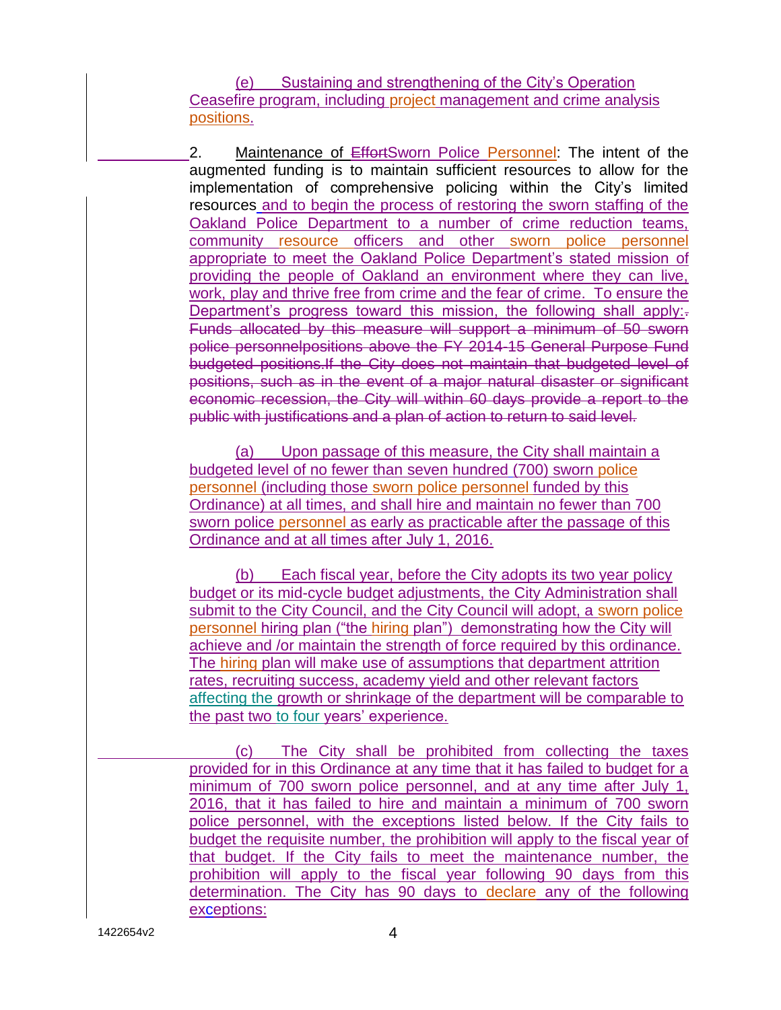(e) Sustaining and strengthening of the City's Operation Ceasefire program, including project management and crime analysis positions.

2. Maintenance of EffortSworn Police Personnel: The intent of the augmented funding is to maintain sufficient resources to allow for the implementation of comprehensive policing within the City's limited resources and to begin the process of restoring the sworn staffing of the Oakland Police Department to a number of crime reduction teams, community resource officers and other sworn police personnel appropriate to meet the Oakland Police Department's stated mission of providing the people of Oakland an environment where they can live, work, play and thrive free from crime and the fear of crime. To ensure the Department's progress toward this mission, the following shall apply:-Funds allocated by this measure will support a minimum of 50 sworn police personnelpositions above the FY 2014-15 General Purpose Fund budgeted positions.If the City does not maintain that budgeted level of positions, such as in the event of a major natural disaster or significant economic recession, the City will within 60 days provide a report to the public with justifications and a plan of action to return to said level.

(a) Upon passage of this measure, the City shall maintain a budgeted level of no fewer than seven hundred (700) sworn police personnel (including those sworn police personnel funded by this Ordinance) at all times, and shall hire and maintain no fewer than 700 sworn police personnel as early as practicable after the passage of this Ordinance and at all times after July 1, 2016.

(b) Each fiscal year, before the City adopts its two year policy budget or its mid-cycle budget adjustments, the City Administration shall submit to the City Council, and the City Council will adopt, a sworn police personnel hiring plan ("the hiring plan") demonstrating how the City will achieve and /or maintain the strength of force required by this ordinance. The hiring plan will make use of assumptions that department attrition rates, recruiting success, academy yield and other relevant factors affecting the growth or shrinkage of the department will be comparable to the past two to four years' experience.

(c) The City shall be prohibited from collecting the taxes provided for in this Ordinance at any time that it has failed to budget for a minimum of 700 sworn police personnel, and at any time after July 1, 2016, that it has failed to hire and maintain a minimum of 700 sworn police personnel, with the exceptions listed below. If the City fails to budget the requisite number, the prohibition will apply to the fiscal year of that budget. If the City fails to meet the maintenance number, the prohibition will apply to the fiscal year following 90 days from this determination. The City has 90 days to declare any of the following exceptions: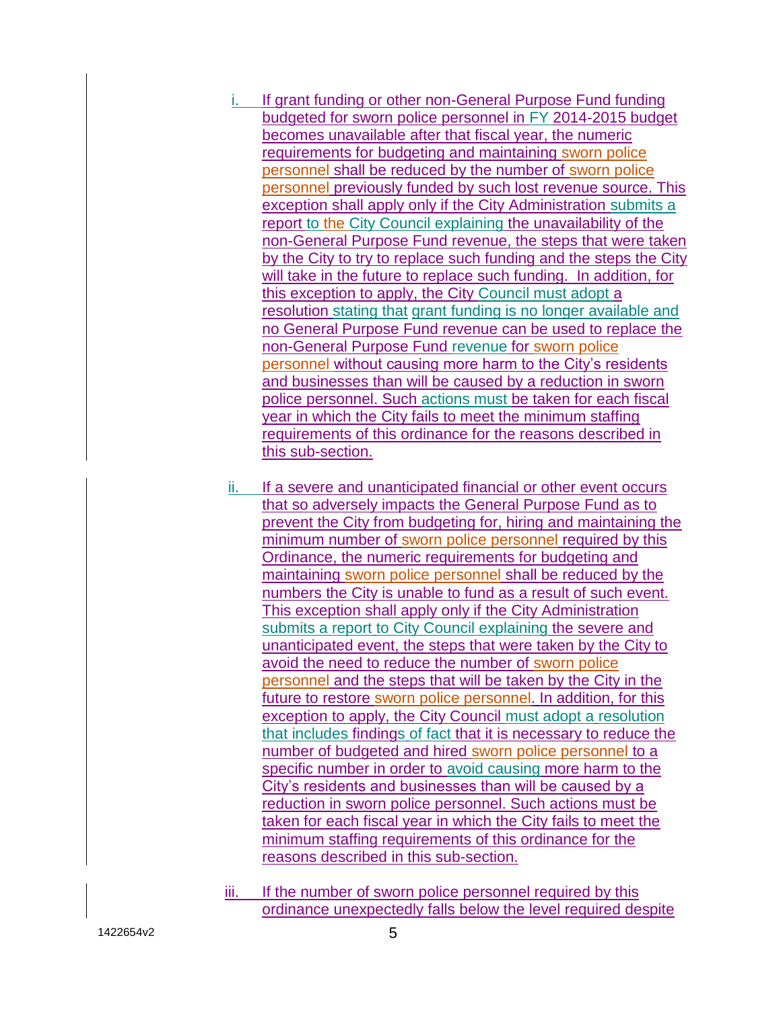- i. If grant funding or other non-General Purpose Fund funding budgeted for sworn police personnel in FY 2014-2015 budget becomes unavailable after that fiscal year, the numeric requirements for budgeting and maintaining sworn police personnel shall be reduced by the number of sworn police personnel previously funded by such lost revenue source. This exception shall apply only if the City Administration submits a report to the City Council explaining the unavailability of the non-General Purpose Fund revenue, the steps that were taken by the City to try to replace such funding and the steps the City will take in the future to replace such funding. In addition, for this exception to apply, the City Council must adopt a resolution stating that grant funding is no longer available and no General Purpose Fund revenue can be used to replace the non-General Purpose Fund revenue for sworn police personnel without causing more harm to the City's residents and businesses than will be caused by a reduction in sworn police personnel. Such actions must be taken for each fiscal year in which the City fails to meet the minimum staffing requirements of this ordinance for the reasons described in this sub-section.
- ii. If a severe and unanticipated financial or other event occurs that so adversely impacts the General Purpose Fund as to prevent the City from budgeting for, hiring and maintaining the minimum number of sworn police personnel required by this Ordinance, the numeric requirements for budgeting and maintaining sworn police personnel shall be reduced by the numbers the City is unable to fund as a result of such event. This exception shall apply only if the City Administration submits a report to City Council explaining the severe and unanticipated event, the steps that were taken by the City to avoid the need to reduce the number of sworn police personnel and the steps that will be taken by the City in the future to restore sworn police personnel. In addition, for this exception to apply, the City Council must adopt a resolution that includes findings of fact that it is necessary to reduce the number of budgeted and hired sworn police personnel to a specific number in order to avoid causing more harm to the City's residents and businesses than will be caused by a reduction in sworn police personnel. Such actions must be taken for each fiscal year in which the City fails to meet the minimum staffing requirements of this ordinance for the reasons described in this sub-section.
- iii. If the number of sworn police personnel required by this ordinance unexpectedly falls below the level required despite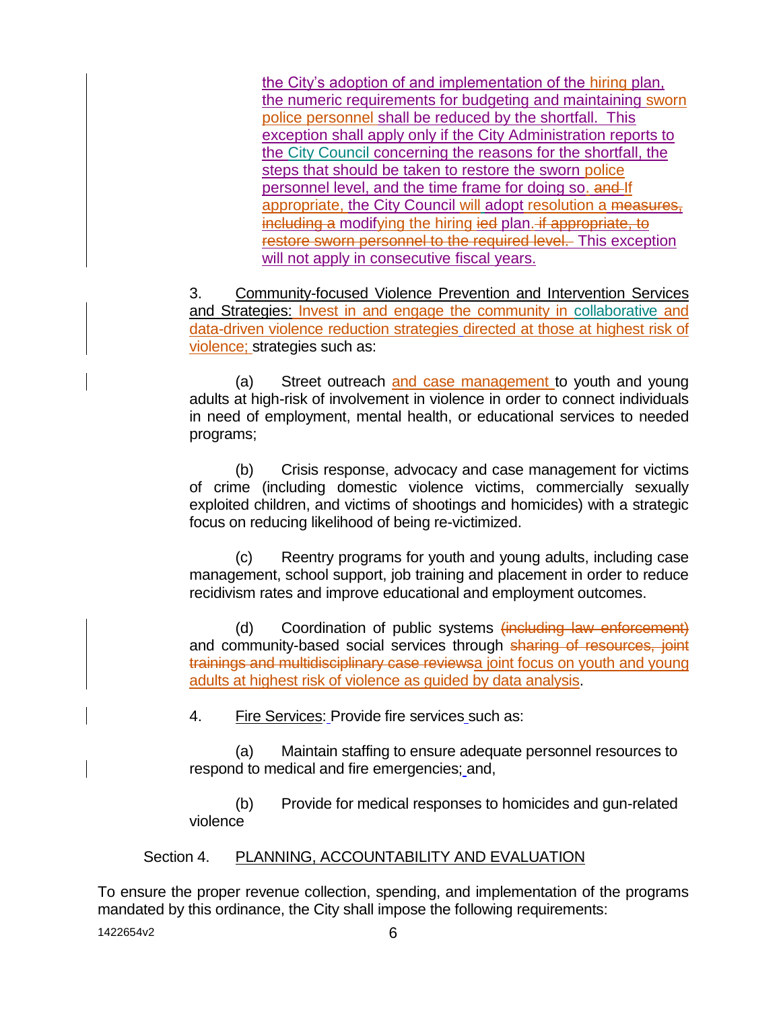the City's adoption of and implementation of the hiring plan, the numeric requirements for budgeting and maintaining sworn police personnel shall be reduced by the shortfall. This exception shall apply only if the City Administration reports to the City Council concerning the reasons for the shortfall, the steps that should be taken to restore the sworn police personnel level, and the time frame for doing so. and If appropriate, the City Council will adopt resolution a measures, including a modifying the hiring ied plan. if appropriate, to restore sworn personnel to the required level. This exception will not apply in consecutive fiscal years.

3. Community-focused Violence Prevention and Intervention Services and Strategies: Invest in and engage the community in collaborative and data-driven violence reduction strategies directed at those at highest risk of violence; strategies such as:

(a) Street outreach and case management to youth and young adults at high-risk of involvement in violence in order to connect individuals in need of employment, mental health, or educational services to needed programs;

(b) Crisis response, advocacy and case management for victims of crime (including domestic violence victims, commercially sexually exploited children, and victims of shootings and homicides) with a strategic focus on reducing likelihood of being re-victimized.

(c) Reentry programs for youth and young adults, including case management, school support, job training and placement in order to reduce recidivism rates and improve educational and employment outcomes.

(d) Coordination of public systems (including law enforcement) and community-based social services through sharing of resources, joint trainings and multidisciplinary case reviewsa joint focus on youth and young adults at highest risk of violence as guided by data analysis.

4. Fire Services: Provide fire services such as:

(a) Maintain staffing to ensure adequate personnel resources to respond to medical and fire emergencies; and,

(b) Provide for medical responses to homicides and gun-related violence

# Section 4. PLANNING, ACCOUNTABILITY AND EVALUATION

To ensure the proper revenue collection, spending, and implementation of the programs mandated by this ordinance, the City shall impose the following requirements: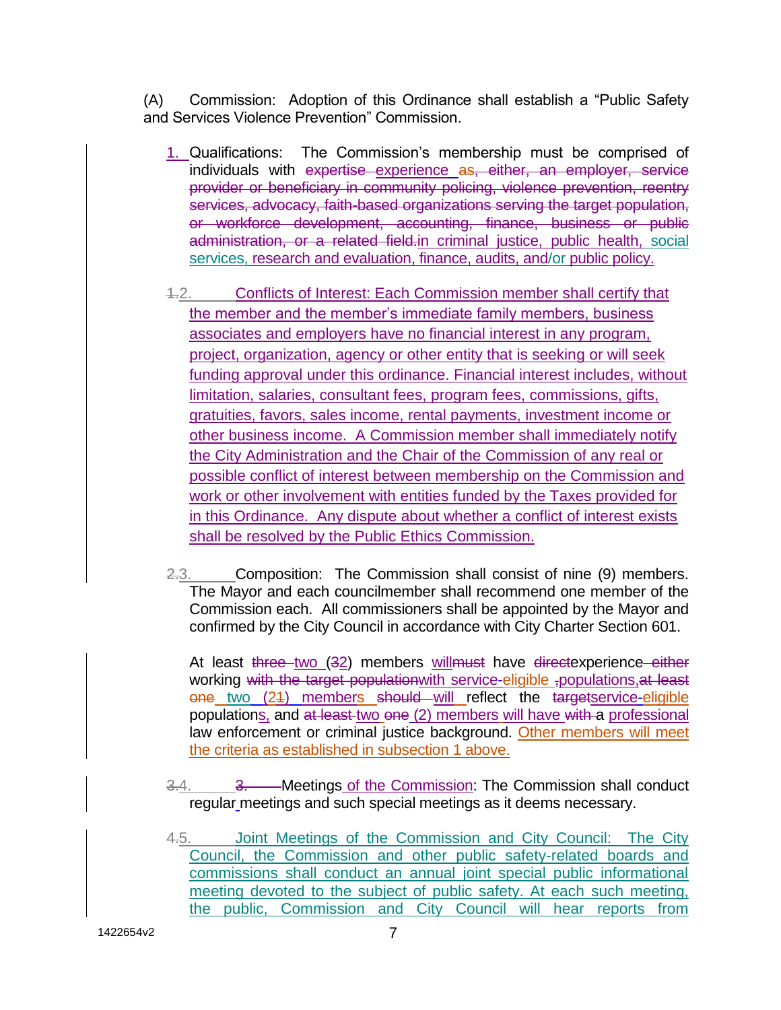(A) Commission: Adoption of this Ordinance shall establish a "Public Safety and Services Violence Prevention" Commission.

- 1. Qualifications: The Commission's membership must be comprised of individuals with expertise experience as, either, an employer, service provider or beneficiary in community policing, violence prevention, reentry services, advocacy, faith-based organizations serving the target population, or workforce development, accounting, finance, business or public administration, or a related field-in criminal justice, public health, social services, research and evaluation, finance, audits, and/or public policy.
- 4.2. Conflicts of Interest: Each Commission member shall certify that the member and the member's immediate family members, business associates and employers have no financial interest in any program, project, organization, agency or other entity that is seeking or will seek funding approval under this ordinance. Financial interest includes, without limitation, salaries, consultant fees, program fees, commissions, gifts, gratuities, favors, sales income, rental payments, investment income or other business income. A Commission member shall immediately notify the City Administration and the Chair of the Commission of any real or possible conflict of interest between membership on the Commission and work or other involvement with entities funded by the Taxes provided for in this Ordinance. Any dispute about whether a conflict of interest exists shall be resolved by the Public Ethics Commission.
- 2.3. Composition: The Commission shall consist of nine (9) members. The Mayor and each councilmember shall recommend one member of the Commission each. All commissioners shall be appointed by the Mayor and confirmed by the City Council in accordance with City Charter Section 601.

At least three two (32) members willmust have directexperience either working with the target population with service-eligible , populations, at least one two (21) members should will reflect the targetservice-eligible populations, and at least two one (2) members will have with a professional law enforcement or criminal justice background. Other members will meet the criteria as established in subsection 1 above.

- 3.4. 3. Meetings of the Commission: The Commission shall conduct regular meetings and such special meetings as it deems necessary.
- 4.5. Joint Meetings of the Commission and City Council: The City Council, the Commission and other public safety-related boards and commissions shall conduct an annual joint special public informational meeting devoted to the subject of public safety. At each such meeting, the public, Commission and City Council will hear reports from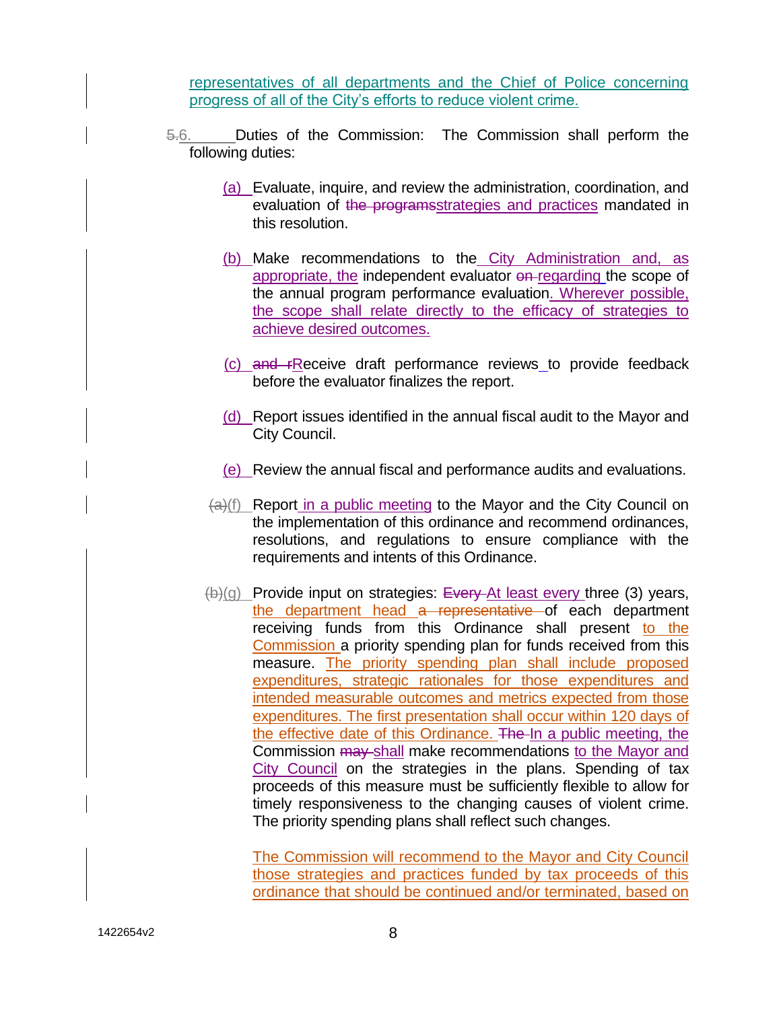representatives of all departments and the Chief of Police concerning progress of all of the City's efforts to reduce violent crime.

- 5.6. Duties of the Commission: The Commission shall perform the following duties:
	- (a) Evaluate, inquire, and review the administration, coordination, and evaluation of the programsstrategies and practices mandated in this resolution.
	- (b) Make recommendations to the City Administration and, as appropriate, the independent evaluator on regarding the scope of the annual program performance evaluation. Wherever possible, the scope shall relate directly to the efficacy of strategies to achieve desired outcomes.
	- (c) and rReceive draft performance reviews to provide feedback before the evaluator finalizes the report.
	- (d) Report issues identified in the annual fiscal audit to the Mayor and City Council.
	- (e) Review the annual fiscal and performance audits and evaluations.
	- $(a)(f)$  Report in a public meeting to the Mayor and the City Council on the implementation of this ordinance and recommend ordinances, resolutions, and regulations to ensure compliance with the requirements and intents of this Ordinance.
	- $(b)(g)$  Provide input on strategies: Every At least every three (3) years, the department head a representative of each department receiving funds from this Ordinance shall present to the Commission a priority spending plan for funds received from this measure. The priority spending plan shall include proposed expenditures, strategic rationales for those expenditures and intended measurable outcomes and metrics expected from those expenditures. The first presentation shall occur within 120 days of the effective date of this Ordinance. The In a public meeting, the Commission  $\frac{1}{2}$  may shall make recommendations to the Mayor and City Council on the strategies in the plans. Spending of tax proceeds of this measure must be sufficiently flexible to allow for timely responsiveness to the changing causes of violent crime. The priority spending plans shall reflect such changes.

The Commission will recommend to the Mayor and City Council those strategies and practices funded by tax proceeds of this ordinance that should be continued and/or terminated, based on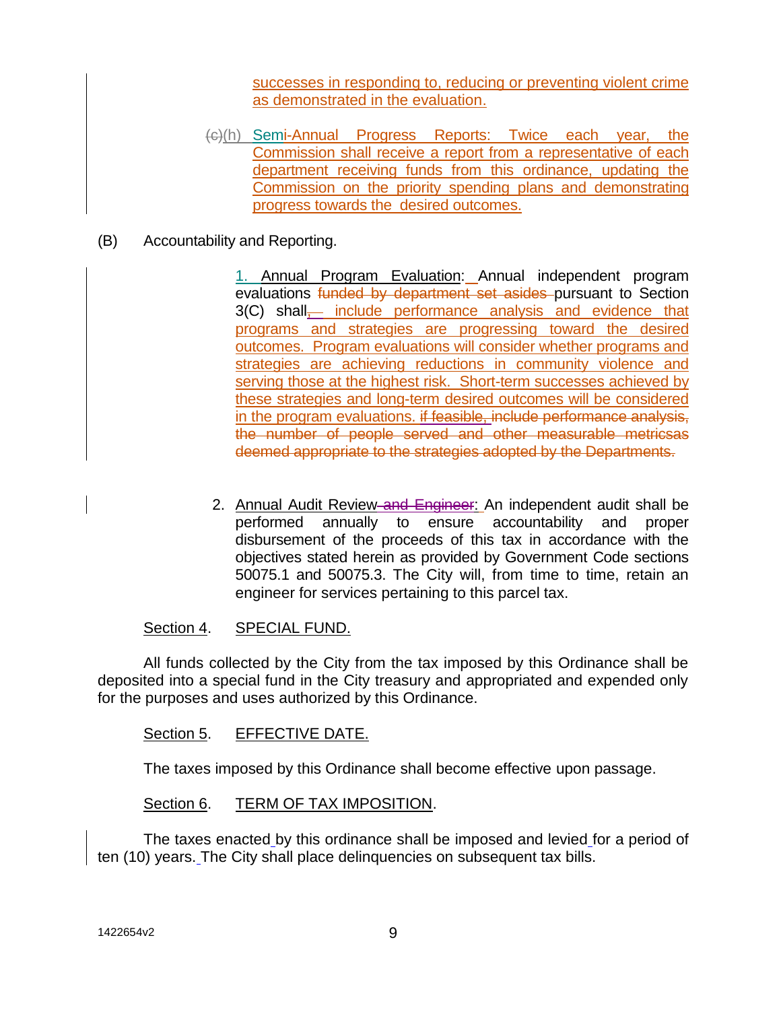successes in responding to, reducing or preventing violent crime as demonstrated in the evaluation.

- (c)(h) Semi-Annual Progress Reports: Twice each year, the Commission shall receive a report from a representative of each department receiving funds from this ordinance, updating the Commission on the priority spending plans and demonstrating progress towards the desired outcomes.
- (B) Accountability and Reporting.

1. Annual Program Evaluation: Annual independent program evaluations funded by department set asides pursuant to Section 3(C) shall<sub>,</sub> include performance analysis and evidence that programs and strategies are progressing toward the desired outcomes. Program evaluations will consider whether programs and strategies are achieving reductions in community violence and serving those at the highest risk. Short-term successes achieved by these strategies and long-term desired outcomes will be considered in the program evaluations. if feasible, include performance analysis, the number of people served and other measurable metricsas deemed appropriate to the strategies adopted by the Departments.

2. Annual Audit Review and Engineer: An independent audit shall be performed annually to ensure accountability and proper disbursement of the proceeds of this tax in accordance with the objectives stated herein as provided by Government Code sections 50075.1 and 50075.3. The City will, from time to time, retain an engineer for services pertaining to this parcel tax.

### Section 4. SPECIAL FUND.

All funds collected by the City from the tax imposed by this Ordinance shall be deposited into a special fund in the City treasury and appropriated and expended only for the purposes and uses authorized by this Ordinance.

### Section 5. EFFECTIVE DATE.

The taxes imposed by this Ordinance shall become effective upon passage.

#### Section 6. TERM OF TAX IMPOSITION.

The taxes enacted by this ordinance shall be imposed and levied for a period of ten (10) years. The City shall place delinquencies on subsequent tax bills.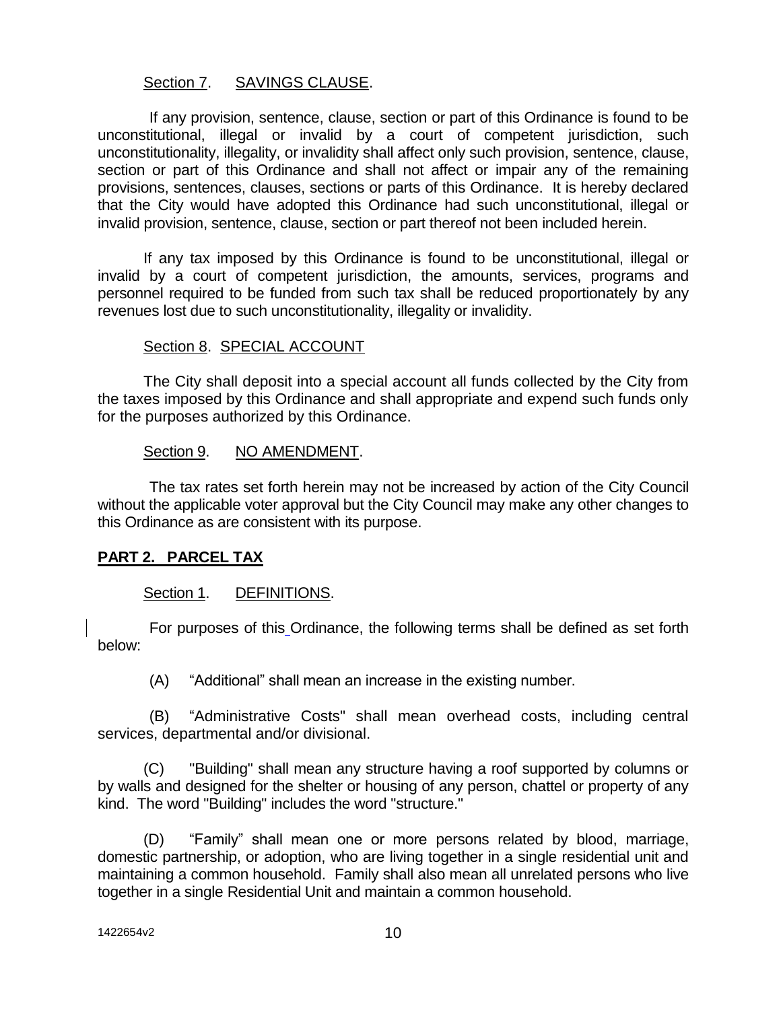#### Section 7. SAVINGS CLAUSE.

If any provision, sentence, clause, section or part of this Ordinance is found to be unconstitutional, illegal or invalid by a court of competent jurisdiction, such unconstitutionality, illegality, or invalidity shall affect only such provision, sentence, clause, section or part of this Ordinance and shall not affect or impair any of the remaining provisions, sentences, clauses, sections or parts of this Ordinance. It is hereby declared that the City would have adopted this Ordinance had such unconstitutional, illegal or invalid provision, sentence, clause, section or part thereof not been included herein.

If any tax imposed by this Ordinance is found to be unconstitutional, illegal or invalid by a court of competent jurisdiction, the amounts, services, programs and personnel required to be funded from such tax shall be reduced proportionately by any revenues lost due to such unconstitutionality, illegality or invalidity.

### Section 8. SPECIAL ACCOUNT

The City shall deposit into a special account all funds collected by the City from the taxes imposed by this Ordinance and shall appropriate and expend such funds only for the purposes authorized by this Ordinance.

#### Section 9. NO AMENDMENT.

The tax rates set forth herein may not be increased by action of the City Council without the applicable voter approval but the City Council may make any other changes to this Ordinance as are consistent with its purpose.

### **PART 2. PARCEL TAX**

### Section 1. DEFINITIONS.

For purposes of this Ordinance, the following terms shall be defined as set forth below:

(A) "Additional" shall mean an increase in the existing number.

(B) "Administrative Costs" shall mean overhead costs, including central services, departmental and/or divisional.

(C) "Building" shall mean any structure having a roof supported by columns or by walls and designed for the shelter or housing of any person, chattel or property of any kind. The word "Building" includes the word "structure."

(D) "Family" shall mean one or more persons related by blood, marriage, domestic partnership, or adoption, who are living together in a single residential unit and maintaining a common household. Family shall also mean all unrelated persons who live together in a single Residential Unit and maintain a common household.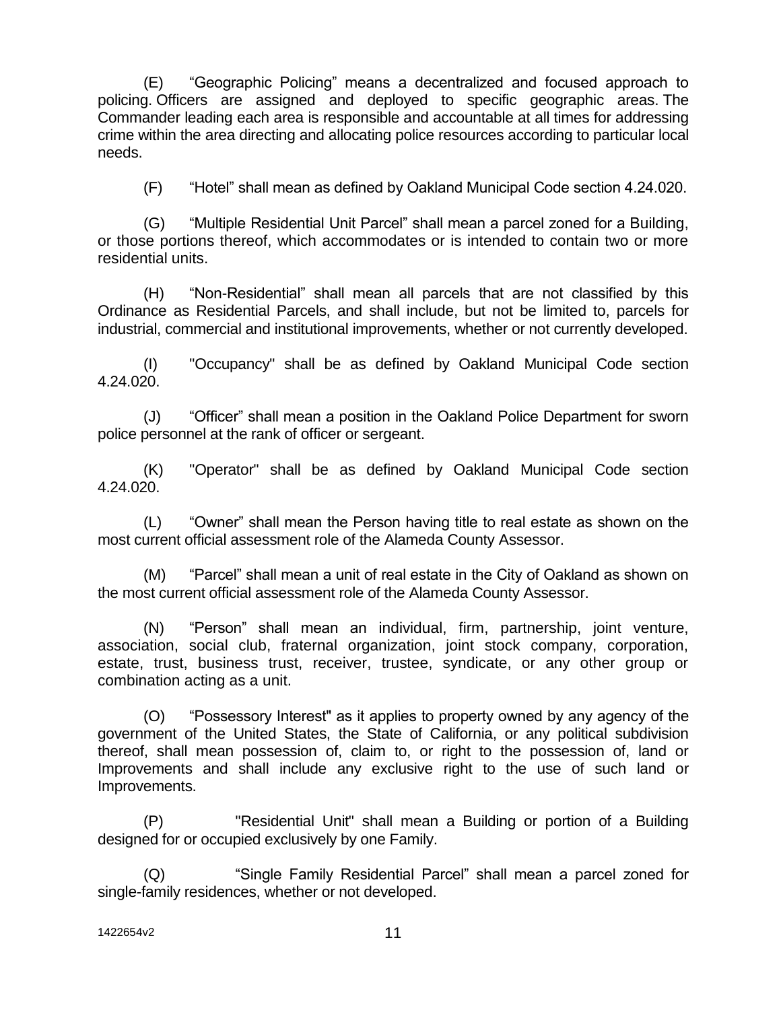(E) "Geographic Policing" means a decentralized and focused approach to policing. Officers are assigned and deployed to specific geographic areas. The Commander leading each area is responsible and accountable at all times for addressing crime within the area directing and allocating police resources according to particular local needs.

(F) "Hotel" shall mean as defined by Oakland Municipal Code section 4.24.020.

(G) "Multiple Residential Unit Parcel" shall mean a parcel zoned for a Building, or those portions thereof, which accommodates or is intended to contain two or more residential units.

(H) "Non-Residential" shall mean all parcels that are not classified by this Ordinance as Residential Parcels, and shall include, but not be limited to, parcels for industrial, commercial and institutional improvements, whether or not currently developed.

(I) "Occupancy" shall be as defined by Oakland Municipal Code section 4.24.020.

(J) "Officer" shall mean a position in the Oakland Police Department for sworn police personnel at the rank of officer or sergeant.

(K) "Operator" shall be as defined by Oakland Municipal Code section 4.24.020.

(L) "Owner" shall mean the Person having title to real estate as shown on the most current official assessment role of the Alameda County Assessor.

(M) "Parcel" shall mean a unit of real estate in the City of Oakland as shown on the most current official assessment role of the Alameda County Assessor.

(N) "Person" shall mean an individual, firm, partnership, joint venture, association, social club, fraternal organization, joint stock company, corporation, estate, trust, business trust, receiver, trustee, syndicate, or any other group or combination acting as a unit.

(O) "Possessory Interest" as it applies to property owned by any agency of the government of the United States, the State of California, or any political subdivision thereof, shall mean possession of, claim to, or right to the possession of, land or Improvements and shall include any exclusive right to the use of such land or Improvements.

(P) "Residential Unit" shall mean a Building or portion of a Building designed for or occupied exclusively by one Family.

(Q) "Single Family Residential Parcel" shall mean a parcel zoned for single-family residences, whether or not developed.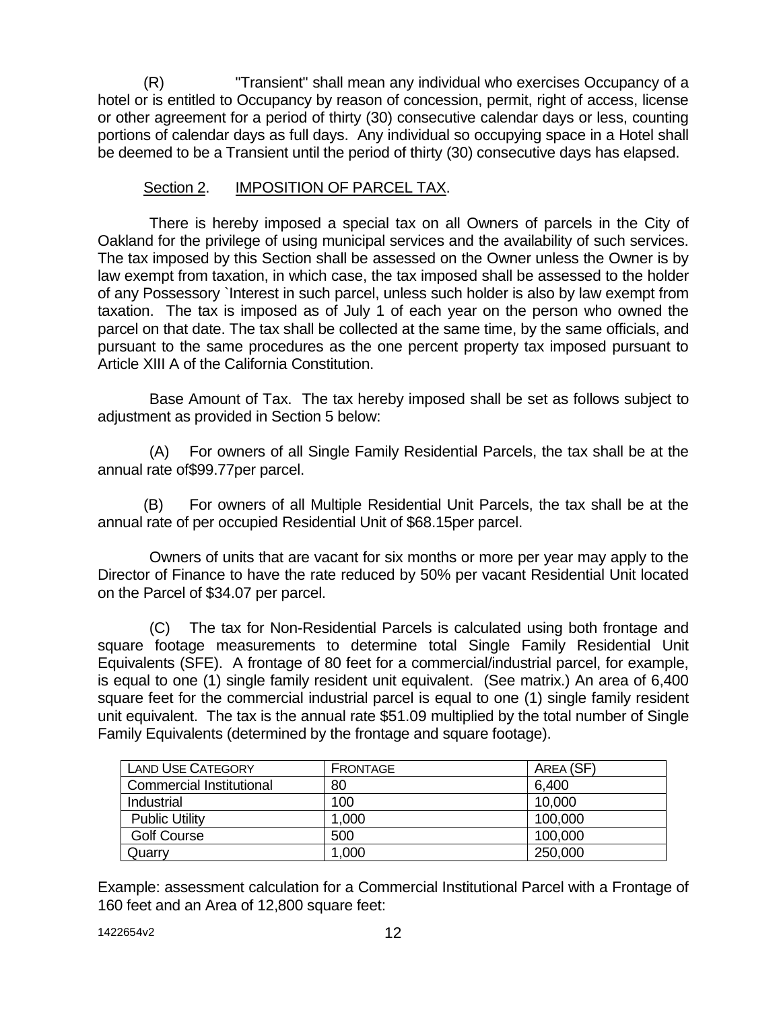(R) "Transient" shall mean any individual who exercises Occupancy of a hotel or is entitled to Occupancy by reason of concession, permit, right of access, license or other agreement for a period of thirty (30) consecutive calendar days or less, counting portions of calendar days as full days. Any individual so occupying space in a Hotel shall be deemed to be a Transient until the period of thirty (30) consecutive days has elapsed.

### Section 2. **IMPOSITION OF PARCEL TAX.**

There is hereby imposed a special tax on all Owners of parcels in the City of Oakland for the privilege of using municipal services and the availability of such services. The tax imposed by this Section shall be assessed on the Owner unless the Owner is by law exempt from taxation, in which case, the tax imposed shall be assessed to the holder of any Possessory `Interest in such parcel, unless such holder is also by law exempt from taxation. The tax is imposed as of July 1 of each year on the person who owned the parcel on that date. The tax shall be collected at the same time, by the same officials, and pursuant to the same procedures as the one percent property tax imposed pursuant to Article XIII A of the California Constitution.

Base Amount of Tax. The tax hereby imposed shall be set as follows subject to adjustment as provided in Section 5 below:

(A) For owners of all Single Family Residential Parcels, the tax shall be at the annual rate of\$99.77per parcel.

(B) For owners of all Multiple Residential Unit Parcels, the tax shall be at the annual rate of per occupied Residential Unit of \$68.15per parcel.

Owners of units that are vacant for six months or more per year may apply to the Director of Finance to have the rate reduced by 50% per vacant Residential Unit located on the Parcel of \$34.07 per parcel.

(C) The tax for Non-Residential Parcels is calculated using both frontage and square footage measurements to determine total Single Family Residential Unit Equivalents (SFE). A frontage of 80 feet for a commercial/industrial parcel, for example, is equal to one (1) single family resident unit equivalent. (See matrix.) An area of 6,400 square feet for the commercial industrial parcel is equal to one (1) single family resident unit equivalent. The tax is the annual rate \$51.09 multiplied by the total number of Single Family Equivalents (determined by the frontage and square footage).

| <b>LAND USE CATEGORY</b>        | <b>FRONTAGE</b> | AREA (SF) |
|---------------------------------|-----------------|-----------|
| <b>Commercial Institutional</b> | 80              | 6,400     |
| Industrial                      | 100             | 10,000    |
| <b>Public Utility</b>           | 1,000           | 100,000   |
| <b>Golf Course</b>              | 500             | 100,000   |
| Quarry                          | 1,000           | 250,000   |

Example: assessment calculation for a Commercial Institutional Parcel with a Frontage of 160 feet and an Area of 12,800 square feet: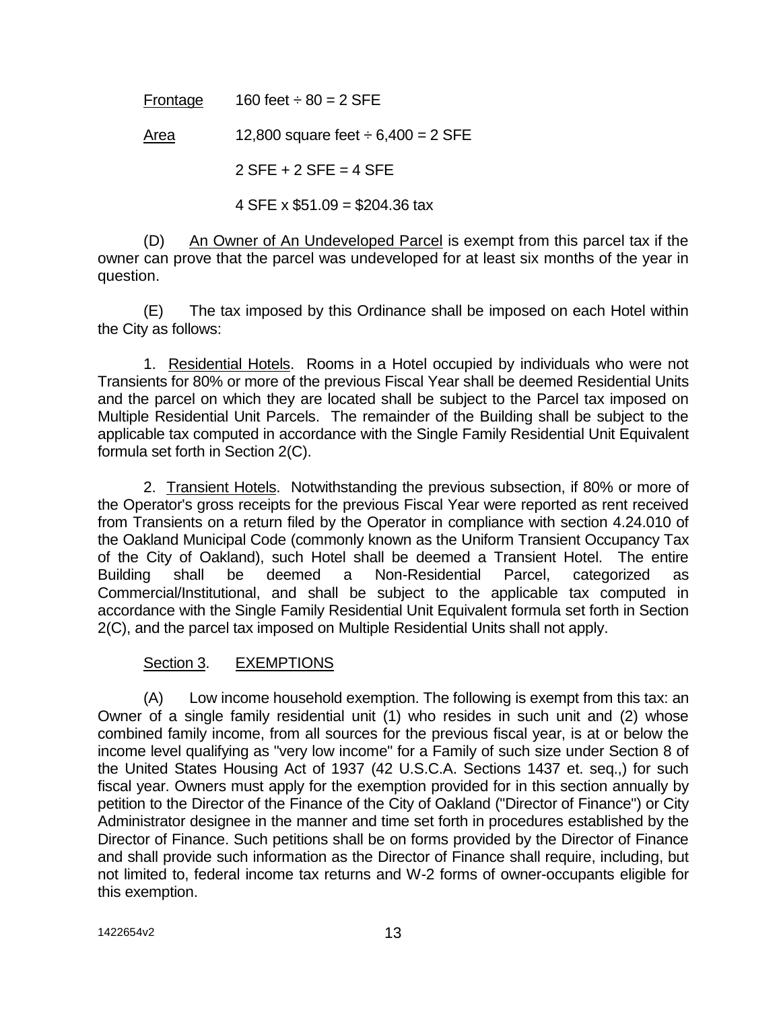Frontage  $160$  feet  $\div 80 = 2$  SFE

Area 12,800 square feet  $\div 6,400 = 2$  SFE

 $2$  SFE + 2 SFE = 4 SFE

4 SFE x  $$51.09 = $204.36$  tax

(D) An Owner of An Undeveloped Parcel is exempt from this parcel tax if the owner can prove that the parcel was undeveloped for at least six months of the year in question.

(E) The tax imposed by this Ordinance shall be imposed on each Hotel within the City as follows:

1. Residential Hotels. Rooms in a Hotel occupied by individuals who were not Transients for 80% or more of the previous Fiscal Year shall be deemed Residential Units and the parcel on which they are located shall be subject to the Parcel tax imposed on Multiple Residential Unit Parcels. The remainder of the Building shall be subject to the applicable tax computed in accordance with the Single Family Residential Unit Equivalent formula set forth in Section 2(C).

2. Transient Hotels. Notwithstanding the previous subsection, if 80% or more of the Operator's gross receipts for the previous Fiscal Year were reported as rent received from Transients on a return filed by the Operator in compliance with section 4.24.010 of the Oakland Municipal Code (commonly known as the Uniform Transient Occupancy Tax of the City of Oakland), such Hotel shall be deemed a Transient Hotel. The entire Building shall be deemed a Non-Residential Parcel, categorized as Commercial/Institutional, and shall be subject to the applicable tax computed in accordance with the Single Family Residential Unit Equivalent formula set forth in Section 2(C), and the parcel tax imposed on Multiple Residential Units shall not apply.

### Section 3. EXEMPTIONS

(A) Low income household exemption. The following is exempt from this tax: an Owner of a single family residential unit (1) who resides in such unit and (2) whose combined family income, from all sources for the previous fiscal year, is at or below the income level qualifying as "very low income" for a Family of such size under Section 8 of the United States Housing Act of 1937 (42 U.S.C.A. Sections 1437 et. seq.,) for such fiscal year. Owners must apply for the exemption provided for in this section annually by petition to the Director of the Finance of the City of Oakland ("Director of Finance") or City Administrator designee in the manner and time set forth in procedures established by the Director of Finance. Such petitions shall be on forms provided by the Director of Finance and shall provide such information as the Director of Finance shall require, including, but not limited to, federal income tax returns and W-2 forms of owner-occupants eligible for this exemption.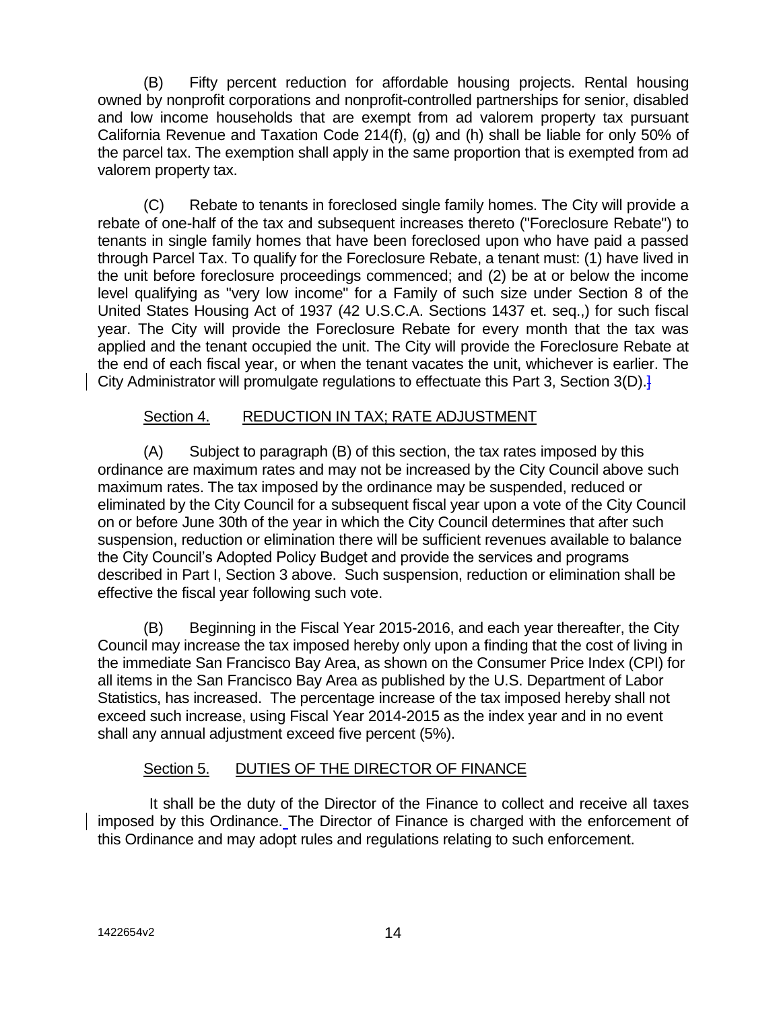(B) Fifty percent reduction for affordable housing projects. Rental housing owned by nonprofit corporations and nonprofit-controlled partnerships for senior, disabled and low income households that are exempt from ad valorem property tax pursuant California Revenue and Taxation Code 214(f), (g) and (h) shall be liable for only 50% of the parcel tax. The exemption shall apply in the same proportion that is exempted from ad valorem property tax.

(C) Rebate to tenants in foreclosed single family homes. The City will provide a rebate of one-half of the tax and subsequent increases thereto ("Foreclosure Rebate") to tenants in single family homes that have been foreclosed upon who have paid a passed through Parcel Tax. To qualify for the Foreclosure Rebate, a tenant must: (1) have lived in the unit before foreclosure proceedings commenced; and (2) be at or below the income level qualifying as "very low income" for a Family of such size under Section 8 of the United States Housing Act of 1937 (42 U.S.C.A. Sections 1437 et. seq.,) for such fiscal year. The City will provide the Foreclosure Rebate for every month that the tax was applied and the tenant occupied the unit. The City will provide the Foreclosure Rebate at the end of each fiscal year, or when the tenant vacates the unit, whichever is earlier. The City Administrator will promulgate regulations to effectuate this Part 3, Section 3(D).

### Section 4. REDUCTION IN TAX; RATE ADJUSTMENT

(A) Subject to paragraph (B) of this section, the tax rates imposed by this ordinance are maximum rates and may not be increased by the City Council above such maximum rates. The tax imposed by the ordinance may be suspended, reduced or eliminated by the City Council for a subsequent fiscal year upon a vote of the City Council on or before June 30th of the year in which the City Council determines that after such suspension, reduction or elimination there will be sufficient revenues available to balance the City Council's Adopted Policy Budget and provide the services and programs described in Part I, Section 3 above. Such suspension, reduction or elimination shall be effective the fiscal year following such vote.

(B) Beginning in the Fiscal Year 2015-2016, and each year thereafter, the City Council may increase the tax imposed hereby only upon a finding that the cost of living in the immediate San Francisco Bay Area, as shown on the Consumer Price Index (CPI) for all items in the San Francisco Bay Area as published by the U.S. Department of Labor Statistics, has increased. The percentage increase of the tax imposed hereby shall not exceed such increase, using Fiscal Year 2014-2015 as the index year and in no event shall any annual adjustment exceed five percent (5%).

# Section 5. DUTIES OF THE DIRECTOR OF FINANCE

It shall be the duty of the Director of the Finance to collect and receive all taxes imposed by this Ordinance. The Director of Finance is charged with the enforcement of this Ordinance and may adopt rules and regulations relating to such enforcement.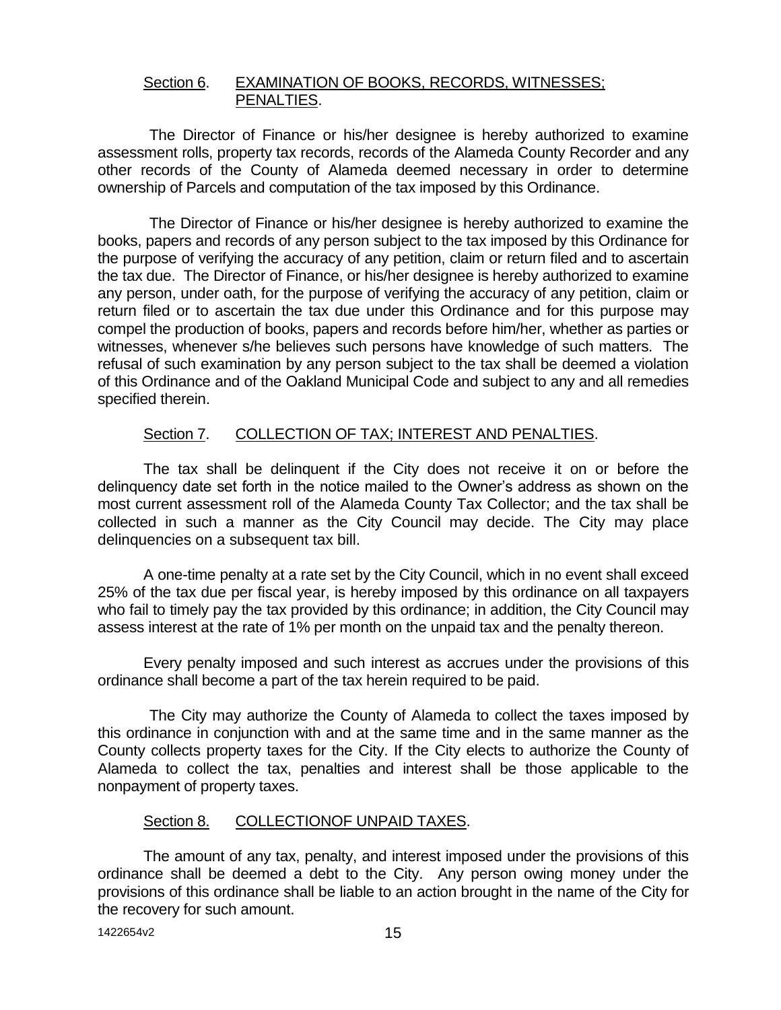#### Section 6. EXAMINATION OF BOOKS, RECORDS, WITNESSES; PENALTIES.

The Director of Finance or his/her designee is hereby authorized to examine assessment rolls, property tax records, records of the Alameda County Recorder and any other records of the County of Alameda deemed necessary in order to determine ownership of Parcels and computation of the tax imposed by this Ordinance.

The Director of Finance or his/her designee is hereby authorized to examine the books, papers and records of any person subject to the tax imposed by this Ordinance for the purpose of verifying the accuracy of any petition, claim or return filed and to ascertain the tax due. The Director of Finance, or his/her designee is hereby authorized to examine any person, under oath, for the purpose of verifying the accuracy of any petition, claim or return filed or to ascertain the tax due under this Ordinance and for this purpose may compel the production of books, papers and records before him/her, whether as parties or witnesses, whenever s/he believes such persons have knowledge of such matters. The refusal of such examination by any person subject to the tax shall be deemed a violation of this Ordinance and of the Oakland Municipal Code and subject to any and all remedies specified therein.

#### Section 7. COLLECTION OF TAX; INTEREST AND PENALTIES.

The tax shall be delinquent if the City does not receive it on or before the delinquency date set forth in the notice mailed to the Owner's address as shown on the most current assessment roll of the Alameda County Tax Collector; and the tax shall be collected in such a manner as the City Council may decide. The City may place delinquencies on a subsequent tax bill.

A one-time penalty at a rate set by the City Council, which in no event shall exceed 25% of the tax due per fiscal year, is hereby imposed by this ordinance on all taxpayers who fail to timely pay the tax provided by this ordinance; in addition, the City Council may assess interest at the rate of 1% per month on the unpaid tax and the penalty thereon.

Every penalty imposed and such interest as accrues under the provisions of this ordinance shall become a part of the tax herein required to be paid.

The City may authorize the County of Alameda to collect the taxes imposed by this ordinance in conjunction with and at the same time and in the same manner as the County collects property taxes for the City. If the City elects to authorize the County of Alameda to collect the tax, penalties and interest shall be those applicable to the nonpayment of property taxes.

#### Section 8. COLLECTIONOF UNPAID TAXES.

The amount of any tax, penalty, and interest imposed under the provisions of this ordinance shall be deemed a debt to the City. Any person owing money under the provisions of this ordinance shall be liable to an action brought in the name of the City for the recovery for such amount.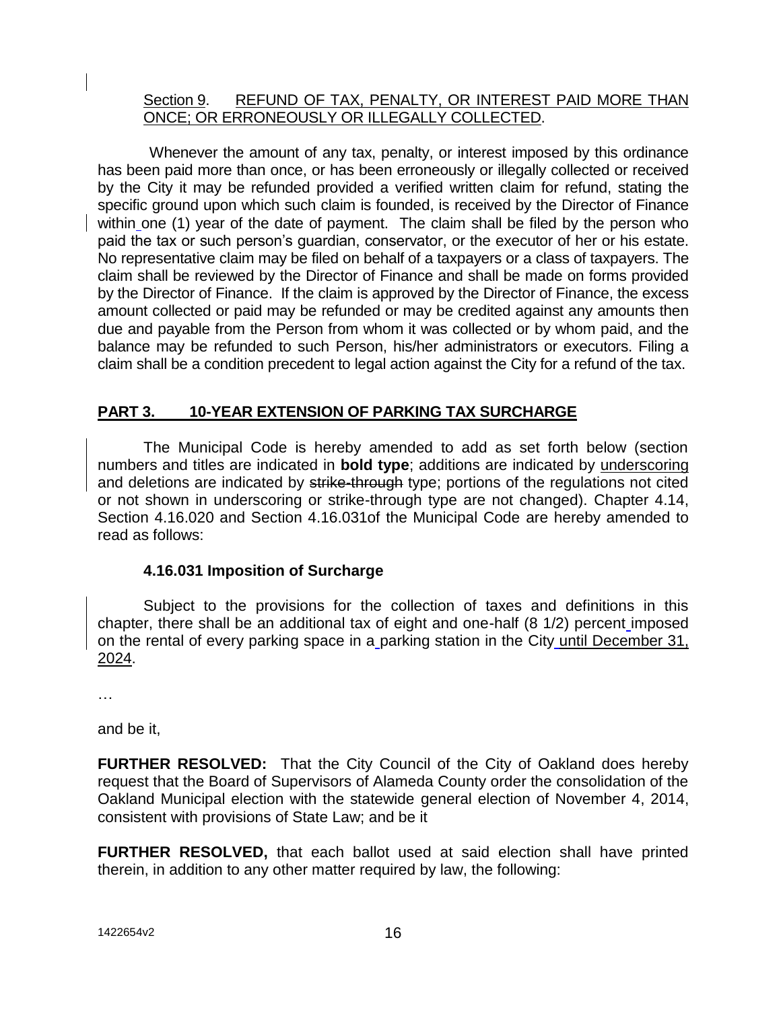### Section 9. REFUND OF TAX, PENALTY, OR INTEREST PAID MORE THAN ONCE; OR ERRONEOUSLY OR ILLEGALLY COLLECTED.

Whenever the amount of any tax, penalty, or interest imposed by this ordinance has been paid more than once, or has been erroneously or illegally collected or received by the City it may be refunded provided a verified written claim for refund, stating the specific ground upon which such claim is founded, is received by the Director of Finance within one (1) year of the date of payment. The claim shall be filed by the person who paid the tax or such person's guardian, conservator, or the executor of her or his estate. No representative claim may be filed on behalf of a taxpayers or a class of taxpayers. The claim shall be reviewed by the Director of Finance and shall be made on forms provided by the Director of Finance. If the claim is approved by the Director of Finance, the excess amount collected or paid may be refunded or may be credited against any amounts then due and payable from the Person from whom it was collected or by whom paid, and the balance may be refunded to such Person, his/her administrators or executors. Filing a claim shall be a condition precedent to legal action against the City for a refund of the tax.

# **PART 3. 10-YEAR EXTENSION OF PARKING TAX SURCHARGE**

The Municipal Code is hereby amended to add as set forth below (section numbers and titles are indicated in **bold type**; additions are indicated by underscoring and deletions are indicated by strike-through type; portions of the regulations not cited or not shown in underscoring or strike-through type are not changed). Chapter 4.14, Section 4.16.020 and Section 4.16.031of the Municipal Code are hereby amended to read as follows:

# **4.16.031 Imposition of Surcharge**

Subject to the provisions for the collection of taxes and definitions in this chapter, there shall be an additional tax of eight and one-half (8 1/2) percent imposed on the rental of every parking space in a parking station in the City until December 31, 2024.

…

and be it,

**FURTHER RESOLVED:** That the City Council of the City of Oakland does hereby request that the Board of Supervisors of Alameda County order the consolidation of the Oakland Municipal election with the statewide general election of November 4, 2014, consistent with provisions of State Law; and be it

**FURTHER RESOLVED,** that each ballot used at said election shall have printed therein, in addition to any other matter required by law, the following: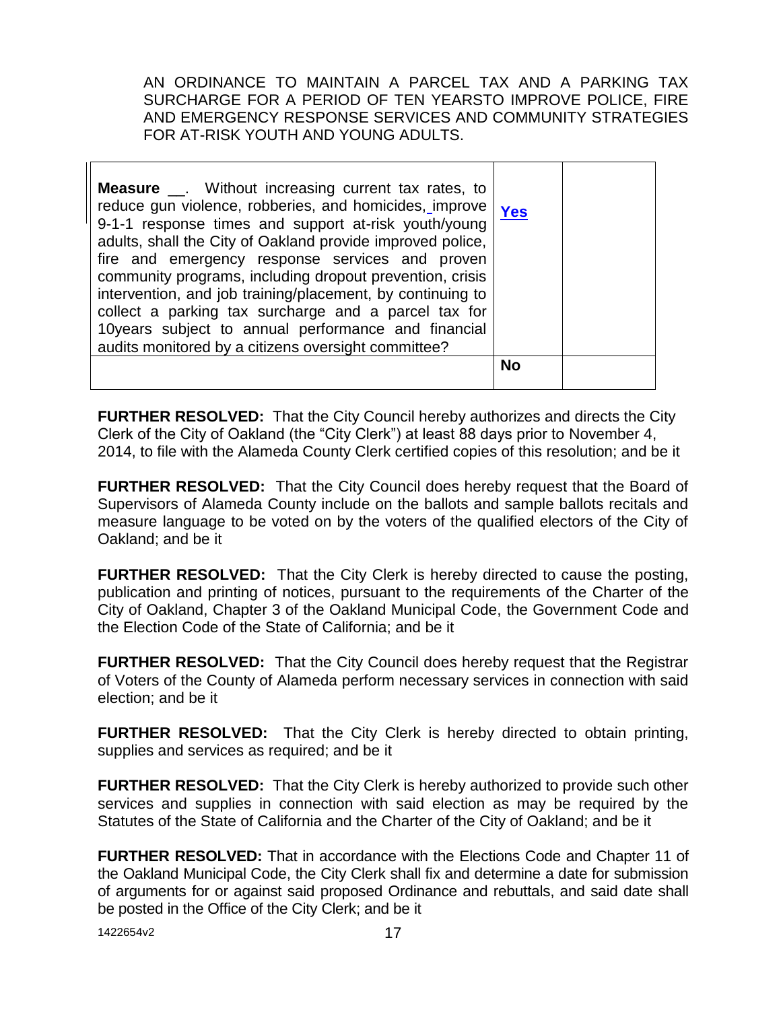AN ORDINANCE TO MAINTAIN A PARCEL TAX AND A PARKING TAX SURCHARGE FOR A PERIOD OF TEN YEARSTO IMPROVE POLICE, FIRE AND EMERGENCY RESPONSE SERVICES AND COMMUNITY STRATEGIES FOR AT-RISK YOUTH AND YOUNG ADULTS.

| <b>Measure</b> ___. Without increasing current tax rates, to<br>reduce gun violence, robberies, and homicides, improve<br>9-1-1 response times and support at-risk youth/young<br>adults, shall the City of Oakland provide improved police,<br>fire and emergency response services and proven<br>community programs, including dropout prevention, crisis<br>intervention, and job training/placement, by continuing to<br>collect a parking tax surcharge and a parcel tax for<br>10years subject to annual performance and financial<br>audits monitored by a citizens oversight committee? | <b>Yes</b> |  |
|-------------------------------------------------------------------------------------------------------------------------------------------------------------------------------------------------------------------------------------------------------------------------------------------------------------------------------------------------------------------------------------------------------------------------------------------------------------------------------------------------------------------------------------------------------------------------------------------------|------------|--|
|                                                                                                                                                                                                                                                                                                                                                                                                                                                                                                                                                                                                 | <b>No</b>  |  |

**FURTHER RESOLVED:** That the City Council hereby authorizes and directs the City Clerk of the City of Oakland (the "City Clerk") at least 88 days prior to November 4, 2014, to file with the Alameda County Clerk certified copies of this resolution; and be it

**FURTHER RESOLVED:** That the City Council does hereby request that the Board of Supervisors of Alameda County include on the ballots and sample ballots recitals and measure language to be voted on by the voters of the qualified electors of the City of Oakland; and be it

**FURTHER RESOLVED:** That the City Clerk is hereby directed to cause the posting, publication and printing of notices, pursuant to the requirements of the Charter of the City of Oakland, Chapter 3 of the Oakland Municipal Code, the Government Code and the Election Code of the State of California; and be it

**FURTHER RESOLVED:** That the City Council does hereby request that the Registrar of Voters of the County of Alameda perform necessary services in connection with said election; and be it

**FURTHER RESOLVED:** That the City Clerk is hereby directed to obtain printing, supplies and services as required; and be it

**FURTHER RESOLVED:** That the City Clerk is hereby authorized to provide such other services and supplies in connection with said election as may be required by the Statutes of the State of California and the Charter of the City of Oakland; and be it

**FURTHER RESOLVED:** That in accordance with the Elections Code and Chapter 11 of the Oakland Municipal Code, the City Clerk shall fix and determine a date for submission of arguments for or against said proposed Ordinance and rebuttals, and said date shall be posted in the Office of the City Clerk; and be it